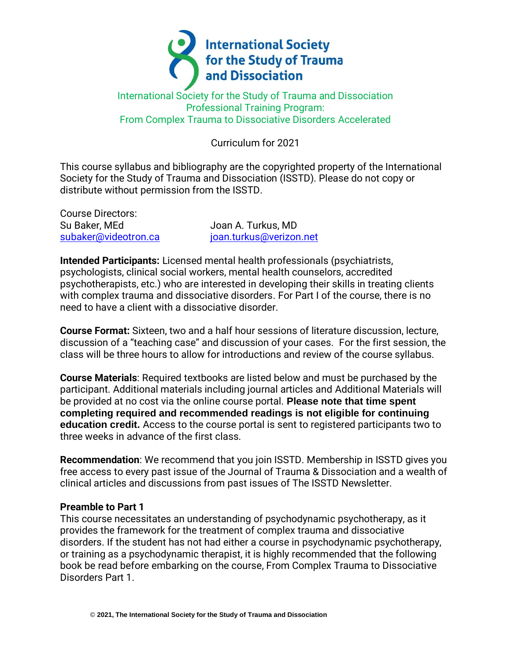

## International Society for the Study of Trauma and Dissociation Professional Training Program: From Complex Trauma to Dissociative Disorders Accelerated

# Curriculum for 2021

This course syllabus and bibliography are the copyrighted property of the International Society for the Study of Trauma and Dissociation (ISSTD). Please do not copy or distribute without permission from the ISSTD.

Course Directors: Su Baker, MEd
a
subset and the Subset of Joan A. Turkus, MD

[subaker@videotron.ca](mailto:subaker@videotron.ca) ioan.turkus@verizon.net

**Intended Participants:** Licensed mental health professionals (psychiatrists, psychologists, clinical social workers, mental health counselors, accredited psychotherapists, etc.) who are interested in developing their skills in treating clients with complex trauma and dissociative disorders. For Part I of the course, there is no need to have a client with a dissociative disorder.

**Course Format:** Sixteen, two and a half hour sessions of literature discussion, lecture, discussion of a "teaching case" and discussion of your cases. For the first session, the class will be three hours to allow for introductions and review of the course syllabus.

**Course Materials**: Required textbooks are listed below and must be purchased by the participant. Additional materials including journal articles and Additional Materials will be provided at no cost via the online course portal. **Please note that time spent completing required and recommended readings is not eligible for continuing education credit.** Access to the course portal is sent to registered participants two to three weeks in advance of the first class.

**Recommendation**: We recommend that you join ISSTD. Membership in ISSTD gives you free access to every past issue of the Journal of Trauma & Dissociation and a wealth of clinical articles and discussions from past issues of The ISSTD Newsletter.

#### **Preamble to Part 1**

This course necessitates an understanding of psychodynamic psychotherapy, as it provides the framework for the treatment of complex trauma and dissociative disorders. If the student has not had either a course in psychodynamic psychotherapy, or training as a psychodynamic therapist, it is highly recommended that the following book be read before embarking on the course, From Complex Trauma to Dissociative Disorders Part 1.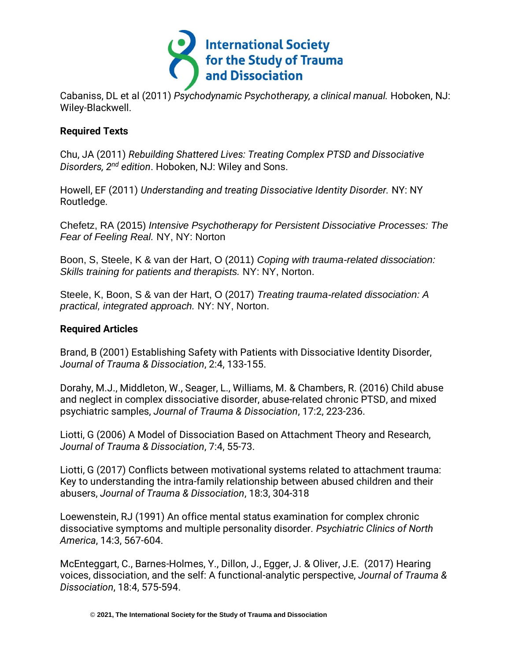

Cabaniss, DL et al (2011) *Psychodynamic Psychotherapy, a clinical manual.* Hoboken, NJ: Wiley-Blackwell.

## **Required Texts**

Chu, JA (2011) *Rebuilding Shattered Lives: Treating Complex PTSD and Dissociative Disorders, 2nd edition*. Hoboken, NJ: Wiley and Sons.

Howell, EF (2011) *Understanding and treating Dissociative Identity Disorder.* NY: NY Routledge.

Chefetz, RA (2015) *Intensive Psychotherapy for Persistent Dissociative Processes: The Fear of Feeling Real.* NY, NY: Norton

Boon, S, Steele, K & van der Hart, O (2011) *Coping with trauma-related dissociation: Skills training for patients and therapists.* NY: NY, Norton.

Steele, K, Boon, S & van der Hart, O (2017) *Treating trauma-related dissociation: A practical, integrated approach.* NY: NY, Norton.

### **Required Articles**

Brand, B (2001) Establishing Safety with Patients with Dissociative Identity Disorder, *Journal of Trauma & Dissociation*, 2:4, 133-155.

Dorahy, M.J., Middleton, W., Seager, L., Williams, M. & Chambers, R. (2016) Child abuse and neglect in complex dissociative disorder, abuse-related chronic PTSD, and mixed psychiatric samples, *Journal of Trauma & Dissociation*, 17:2, 223-236.

Liotti, G (2006) A Model of Dissociation Based on Attachment Theory and Research, *Journal of Trauma & Dissociation*, 7:4, 55-73.

Liotti, G (2017) Conflicts between motivational systems related to attachment trauma: Key to understanding the intra-family relationship between abused children and their abusers, *Journal of Trauma & Dissociation*, 18:3, 304-318

Loewenstein, RJ (1991) An office mental status examination for complex chronic dissociative symptoms and multiple personality disorder. *Psychiatric Clinics of North America*, 14:3, 567-604.

McEnteggart, C., Barnes-Holmes, Y., Dillon, J., Egger, J. & Oliver, J.E. (2017) Hearing voices, dissociation, and the self: A functional-analytic perspective, *Journal of Trauma & Dissociation*, 18:4, 575-594.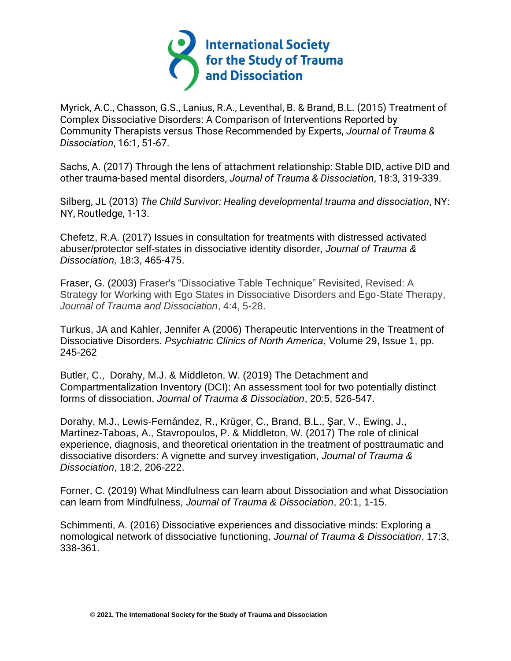

Myrick, A.C., Chasson, G.S., Lanius, R.A., Leventhal, B. & Brand, B.L. (2015) Treatment of Complex Dissociative Disorders: A Comparison of Interventions Reported by Community Therapists versus Those Recommended by Experts, *Journal of Trauma & Dissociation*, 16:1, 51-67.

Sachs, A. (2017) Through the lens of attachment relationship: Stable DID, active DID and other trauma-based mental disorders, *Journal of Trauma & Dissociation*, 18:3, 319-339.

Silberg, JL (2013) *The Child Survivor: Healing developmental trauma and dissociation*, NY: NY, Routledge, 1-13.

Chefetz, R.A. (2017) Issues in consultation for treatments with distressed activated abuser/protector self-states in dissociative identity disorder, *Journal of Trauma & Dissociation,* 18:3, 465-475.

Fraser, G. (2003) Fraser's "Dissociative Table Technique" Revisited, Revised: A Strategy for Working with Ego States in Dissociative Disorders and Ego-State Therapy, *Journal of Trauma and Dissociation*, 4:4, 5-28.

Turkus, JA and Kahler, Jennifer A (2006) Therapeutic Interventions in the Treatment of Dissociative Disorders. *Psychiatric Clinics of North America*, Volume 29, Issue 1, pp. 245-262

Butler, C., Dorahy, M.J. & Middleton, W. (2019) The Detachment and Compartmentalization Inventory (DCI): An assessment tool for two potentially distinct forms of dissociation, *Journal of Trauma & Dissociation*, 20:5, 526-547.

Dorahy, M.J., Lewis-Fernández, R., Krüger, C., Brand, B.L., Şar, V., Ewing, J., Martínez-Taboas, A., Stavropoulos, P. & Middleton, W. (2017) The role of clinical experience, diagnosis, and theoretical orientation in the treatment of posttraumatic and dissociative disorders: A vignette and survey investigation, *Journal of Trauma & Dissociation*, 18:2, 206-222.

Forner, C. (2019) What Mindfulness can learn about Dissociation and what Dissociation can learn from Mindfulness, *Journal of Trauma & Dissociation*, 20:1, 1-15.

Schimmenti, A. (2016) Dissociative experiences and dissociative minds: Exploring a nomological network of dissociative functioning, *Journal of Trauma & Dissociation*, 17:3, 338-361.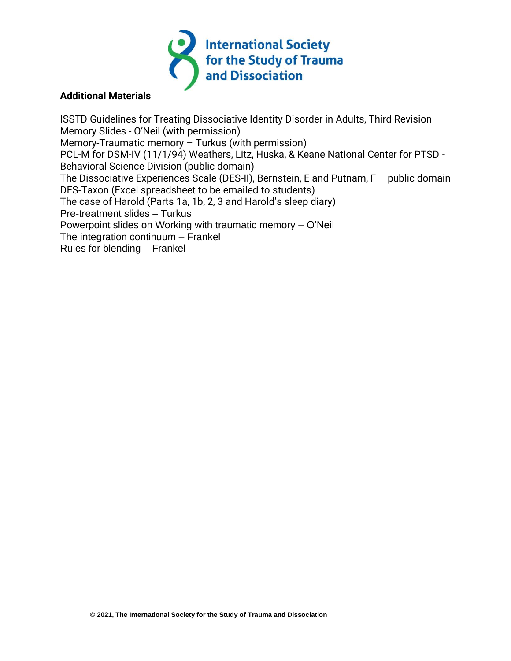

### **Additional Materials**

ISSTD Guidelines for Treating Dissociative Identity Disorder in Adults, Third Revision Memory Slides - O'Neil (with permission) Memory-Traumatic memory – Turkus (with permission) PCL-M for DSM-IV (11/1/94) Weathers, Litz, Huska, & Keane National Center for PTSD - Behavioral Science Division (public domain) The Dissociative Experiences Scale (DES-II), Bernstein, E and Putnam, F – public domain DES-Taxon (Excel spreadsheet to be emailed to students) The case of Harold (Parts 1a, 1b, 2, 3 and Harold's sleep diary) Pre-treatment slides – Turkus Powerpoint slides on Working with traumatic memory – O'Neil The integration continuum – Frankel Rules for blending – Frankel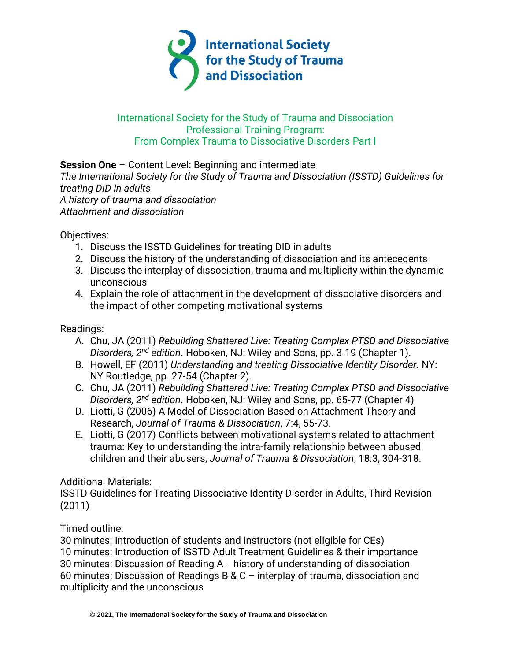

## International Society for the Study of Trauma and Dissociation Professional Training Program: From Complex Trauma to Dissociative Disorders Part I

## **Session One** – Content Level: Beginning and intermediate

*The International Society for the Study of Trauma and Dissociation (ISSTD) Guidelines for treating DID in adults A history of trauma and dissociation Attachment and dissociation*

Objectives:

- 1. Discuss the ISSTD Guidelines for treating DID in adults
- 2. Discuss the history of the understanding of dissociation and its antecedents
- 3. Discuss the interplay of dissociation, trauma and multiplicity within the dynamic unconscious
- 4. Explain the role of attachment in the development of dissociative disorders and the impact of other competing motivational systems

Readings:

- A. Chu, JA (2011) *Rebuilding Shattered Live: Treating Complex PTSD and Dissociative Disorders, 2nd edition*. Hoboken, NJ: Wiley and Sons, pp. 3-19 (Chapter 1).
- B. Howell, EF (2011) *Understanding and treating Dissociative Identity Disorder.* NY: NY Routledge, pp. 27-54 (Chapter 2).
- C. Chu, JA (2011) *Rebuilding Shattered Live: Treating Complex PTSD and Dissociative Disorders, 2nd edition*. Hoboken, NJ: Wiley and Sons, pp. 65-77 (Chapter 4)
- D. Liotti, G (2006) A Model of Dissociation Based on Attachment Theory and Research, *Journal of Trauma & Dissociation*, 7:4, 55-73.
- E. Liotti, G (2017) Conflicts between motivational systems related to attachment trauma: Key to understanding the intra-family relationship between abused children and their abusers, *Journal of Trauma & Dissociation*, 18:3, 304-318.

Additional Materials:

ISSTD Guidelines for Treating Dissociative Identity Disorder in Adults, Third Revision (2011)

Timed outline:

30 minutes: Introduction of students and instructors (not eligible for CEs) 10 minutes: Introduction of ISSTD Adult Treatment Guidelines & their importance 30 minutes: Discussion of Reading A - history of understanding of dissociation 60 minutes: Discussion of Readings B & C – interplay of trauma, dissociation and multiplicity and the unconscious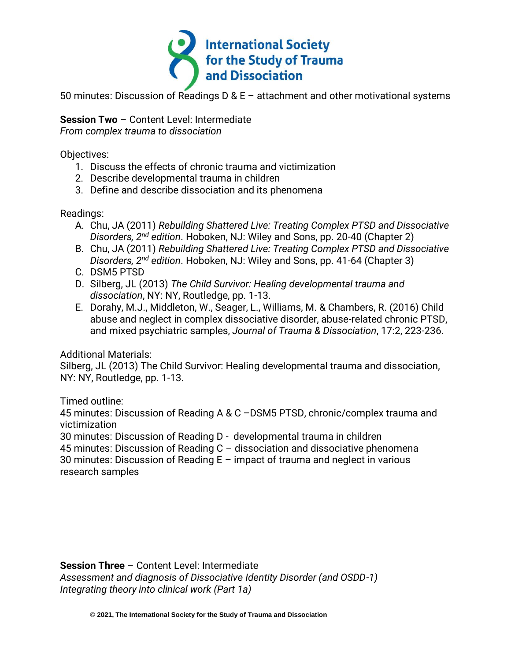

50 minutes: Discussion of Readings D & E – attachment and other motivational systems

**Session Two** – Content Level: Intermediate *From complex trauma to dissociation*

Objectives:

- 1. Discuss the effects of chronic trauma and victimization
- 2. Describe developmental trauma in children
- 3. Define and describe dissociation and its phenomena

Readings:

- A. Chu, JA (2011) *Rebuilding Shattered Live: Treating Complex PTSD and Dissociative Disorders, 2nd edition*. Hoboken, NJ: Wiley and Sons, pp. 20-40 (Chapter 2)
- B. Chu, JA (2011) *Rebuilding Shattered Live: Treating Complex PTSD and Dissociative Disorders, 2nd edition*. Hoboken, NJ: Wiley and Sons, pp. 41-64 (Chapter 3)
- C. DSM5 PTSD
- D. Silberg, JL (2013) *The Child Survivor: Healing developmental trauma and dissociation*, NY: NY, Routledge, pp. 1-13.
- E. Dorahy, M.J., Middleton, W., Seager, L., Williams, M. & Chambers, R. (2016) Child abuse and neglect in complex dissociative disorder, abuse-related chronic PTSD, and mixed psychiatric samples, *Journal of Trauma & Dissociation*, 17:2, 223-236.

Additional Materials:

Silberg, JL (2013) The Child Survivor: Healing developmental trauma and dissociation, NY: NY, Routledge, pp. 1-13.

Timed outline:

45 minutes: Discussion of Reading A & C –DSM5 PTSD, chronic/complex trauma and victimization

30 minutes: Discussion of Reading D - developmental trauma in children

45 minutes: Discussion of Reading C – dissociation and dissociative phenomena

30 minutes: Discussion of Reading E – impact of trauma and neglect in various research samples

**Session Three** – Content Level: Intermediate *Assessment and diagnosis of Dissociative Identity Disorder (and OSDD-1) Integrating theory into clinical work (Part 1a)*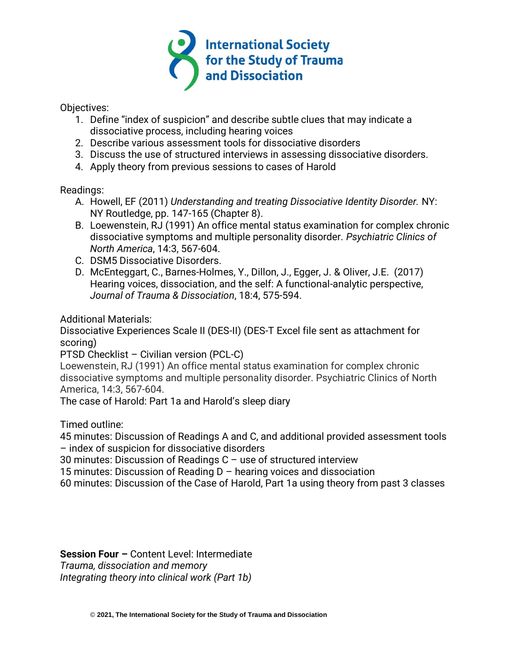

Objectives:

- 1. Define "index of suspicion" and describe subtle clues that may indicate a dissociative process, including hearing voices
- 2. Describe various assessment tools for dissociative disorders
- 3. Discuss the use of structured interviews in assessing dissociative disorders.
- 4. Apply theory from previous sessions to cases of Harold

Readings:

- A. Howell, EF (2011) *Understanding and treating Dissociative Identity Disorder.* NY: NY Routledge, pp. 147-165 (Chapter 8).
- B. Loewenstein, RJ (1991) An office mental status examination for complex chronic dissociative symptoms and multiple personality disorder. *Psychiatric Clinics of North America*, 14:3, 567-604.
- C. DSM5 Dissociative Disorders.
- D. McEnteggart, C., Barnes-Holmes, Y., Dillon, J., Egger, J. & Oliver, J.E. (2017) Hearing voices, dissociation, and the self: A functional-analytic perspective, *Journal of Trauma & Dissociation*, 18:4, 575-594.

Additional Materials:

Dissociative Experiences Scale II (DES-II) (DES-T Excel file sent as attachment for scoring)

PTSD Checklist – Civilian version (PCL-C)

Loewenstein, RJ (1991) An office mental status examination for complex chronic dissociative symptoms and multiple personality disorder. Psychiatric Clinics of North America, 14:3, 567-604.

The case of Harold: Part 1a and Harold's sleep diary

Timed outline:

45 minutes: Discussion of Readings A and C, and additional provided assessment tools – index of suspicion for dissociative disorders

30 minutes: Discussion of Readings C – use of structured interview

15 minutes: Discussion of Reading D – hearing voices and dissociation

60 minutes: Discussion of the Case of Harold, Part 1a using theory from past 3 classes

**Session Four –** Content Level: Intermediate *Trauma, dissociation and memory Integrating theory into clinical work (Part 1b)*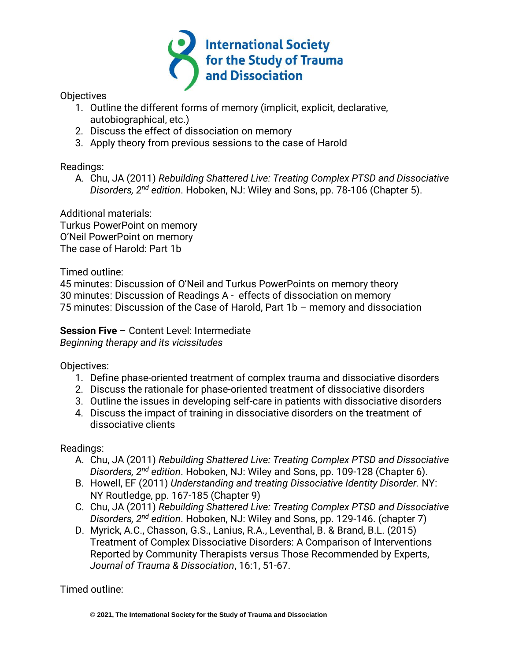

**Objectives** 

- 1. Outline the different forms of memory (implicit, explicit, declarative, autobiographical, etc.)
- 2. Discuss the effect of dissociation on memory
- 3. Apply theory from previous sessions to the case of Harold

Readings:

A. Chu, JA (2011) *Rebuilding Shattered Live: Treating Complex PTSD and Dissociative Disorders, 2nd edition*. Hoboken, NJ: Wiley and Sons, pp. 78-106 (Chapter 5).

Additional materials: Turkus PowerPoint on memory O'Neil PowerPoint on memory The case of Harold: Part 1b

Timed outline:

45 minutes: Discussion of O'Neil and Turkus PowerPoints on memory theory 30 minutes: Discussion of Readings A - effects of dissociation on memory 75 minutes: Discussion of the Case of Harold, Part 1b – memory and dissociation

**Session Five** – Content Level: Intermediate *Beginning therapy and its vicissitudes*

Objectives:

- 1. Define phase-oriented treatment of complex trauma and dissociative disorders
- 2. Discuss the rationale for phase-oriented treatment of dissociative disorders
- 3. Outline the issues in developing self-care in patients with dissociative disorders
- 4. Discuss the impact of training in dissociative disorders on the treatment of dissociative clients

Readings:

- A. Chu, JA (2011) *Rebuilding Shattered Live: Treating Complex PTSD and Dissociative Disorders, 2nd edition*. Hoboken, NJ: Wiley and Sons, pp. 109-128 (Chapter 6).
- B. Howell, EF (2011) *Understanding and treating Dissociative Identity Disorder.* NY: NY Routledge, pp. 167-185 (Chapter 9)
- C. Chu, JA (2011) *Rebuilding Shattered Live: Treating Complex PTSD and Dissociative Disorders, 2nd edition*. Hoboken, NJ: Wiley and Sons, pp. 129-146. (chapter 7)
- D. Myrick, A.C., Chasson, G.S., Lanius, R.A., Leventhal, B. & Brand, B.L. (2015) Treatment of Complex Dissociative Disorders: A Comparison of Interventions Reported by Community Therapists versus Those Recommended by Experts, *Journal of Trauma & Dissociation*, 16:1, 51-67.

Timed outline: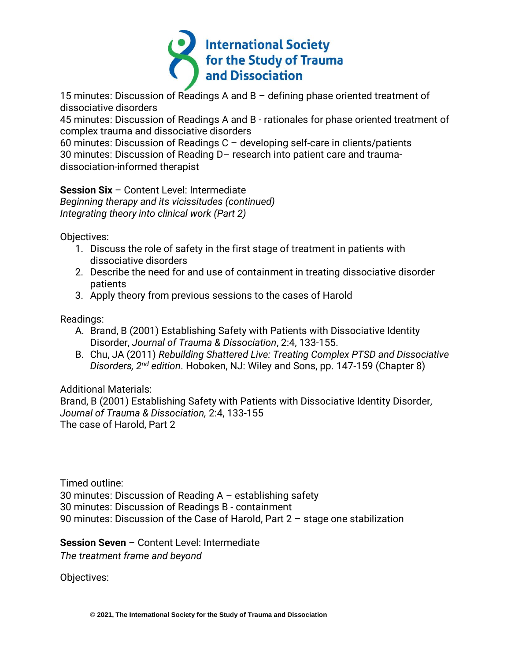

15 minutes: Discussion of Readings A and B – defining phase oriented treatment of dissociative disorders

45 minutes: Discussion of Readings A and B - rationales for phase oriented treatment of complex trauma and dissociative disorders

60 minutes: Discussion of Readings C – developing self-care in clients/patients 30 minutes: Discussion of Reading D– research into patient care and traumadissociation-informed therapist

**Session Six** – Content Level: Intermediate *Beginning therapy and its vicissitudes (continued) Integrating theory into clinical work (Part 2)*

Objectives:

- 1. Discuss the role of safety in the first stage of treatment in patients with dissociative disorders
- 2. Describe the need for and use of containment in treating dissociative disorder patients
- 3. Apply theory from previous sessions to the cases of Harold

Readings:

- A. Brand, B (2001) Establishing Safety with Patients with Dissociative Identity Disorder, *Journal of Trauma & Dissociation*, 2:4, 133-155.
- B. Chu, JA (2011) *Rebuilding Shattered Live: Treating Complex PTSD and Dissociative Disorders, 2nd edition*. Hoboken, NJ: Wiley and Sons, pp. 147-159 (Chapter 8)

# Additional Materials:

Brand, B (2001) Establishing Safety with Patients with Dissociative Identity Disorder, *Journal of Trauma & Dissociation,* 2:4, 133-155 The case of Harold, Part 2

Timed outline: 30 minutes: Discussion of Reading A – establishing safety 30 minutes: Discussion of Readings B - containment 90 minutes: Discussion of the Case of Harold, Part 2 – stage one stabilization

**Session Seven** – Content Level: Intermediate

*The treatment frame and beyond*

Objectives: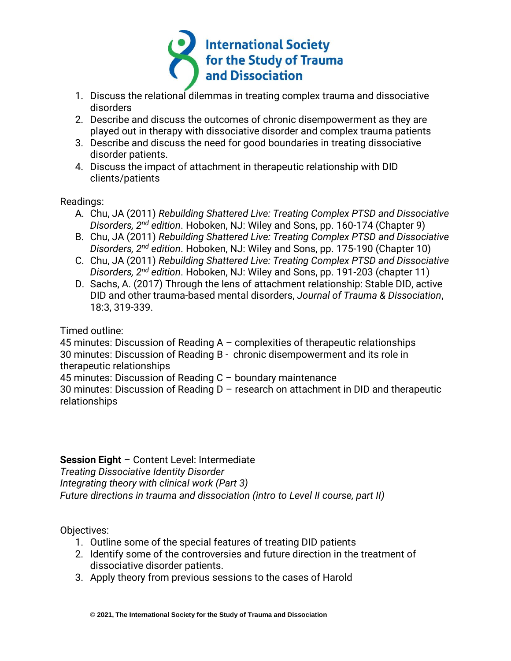

- 1. Discuss the relational dilemmas in treating complex trauma and dissociative disorders
- 2. Describe and discuss the outcomes of chronic disempowerment as they are played out in therapy with dissociative disorder and complex trauma patients
- 3. Describe and discuss the need for good boundaries in treating dissociative disorder patients.
- 4. Discuss the impact of attachment in therapeutic relationship with DID clients/patients

Readings:

- A. Chu, JA (2011) *Rebuilding Shattered Live: Treating Complex PTSD and Dissociative Disorders, 2nd edition*. Hoboken, NJ: Wiley and Sons, pp. 160-174 (Chapter 9)
- B. Chu, JA (2011) *Rebuilding Shattered Live: Treating Complex PTSD and Dissociative Disorders, 2nd edition*. Hoboken, NJ: Wiley and Sons, pp. 175-190 (Chapter 10)
- C. Chu, JA (2011) *Rebuilding Shattered Live: Treating Complex PTSD and Dissociative Disorders, 2nd edition*. Hoboken, NJ: Wiley and Sons, pp. 191-203 (chapter 11)
- D. Sachs, A. (2017) Through the lens of attachment relationship: Stable DID, active DID and other trauma-based mental disorders, *Journal of Trauma & Dissociation*, 18:3, 319-339.

Timed outline:

45 minutes: Discussion of Reading A – complexities of therapeutic relationships 30 minutes: Discussion of Reading B - chronic disempowerment and its role in therapeutic relationships

45 minutes: Discussion of Reading C – boundary maintenance

30 minutes: Discussion of Reading D – research on attachment in DID and therapeutic relationships

# **Session Eight** – Content Level: Intermediate

*Treating Dissociative Identity Disorder*

*Integrating theory with clinical work (Part 3)*

*Future directions in trauma and dissociation (intro to Level II course, part II)*

Objectives:

- 1. Outline some of the special features of treating DID patients
- 2. Identify some of the controversies and future direction in the treatment of dissociative disorder patients.
- 3. Apply theory from previous sessions to the cases of Harold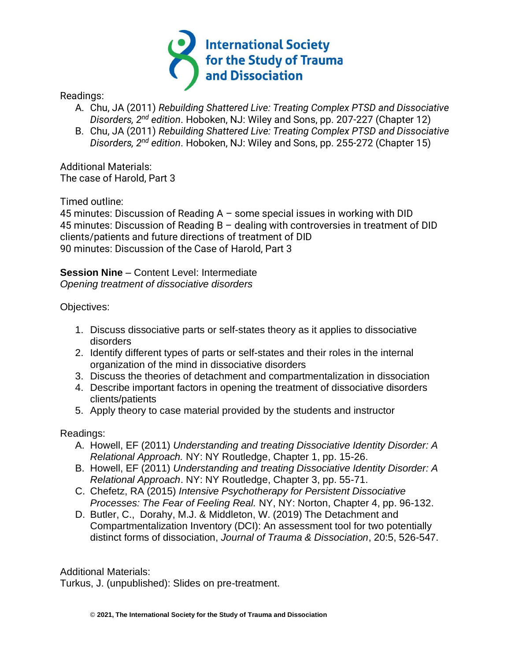

Readings:

- A. Chu, JA (2011) *Rebuilding Shattered Live: Treating Complex PTSD and Dissociative Disorders, 2nd edition*. Hoboken, NJ: Wiley and Sons, pp. 207-227 (Chapter 12)
- B. Chu, JA (2011) *Rebuilding Shattered Live: Treating Complex PTSD and Dissociative Disorders, 2nd edition*. Hoboken, NJ: Wiley and Sons, pp. 255-272 (Chapter 15)

Additional Materials: The case of Harold, Part 3

Timed outline:

45 minutes: Discussion of Reading A – some special issues in working with DID 45 minutes: Discussion of Reading B – dealing with controversies in treatment of DID clients/patients and future directions of treatment of DID 90 minutes: Discussion of the Case of Harold, Part 3

**Session Nine** – Content Level: Intermediate *Opening treatment of dissociative disorders*

Objectives:

- 1. Discuss dissociative parts or self-states theory as it applies to dissociative disorders
- 2. Identify different types of parts or self-states and their roles in the internal organization of the mind in dissociative disorders
- 3. Discuss the theories of detachment and compartmentalization in dissociation
- 4. Describe important factors in opening the treatment of dissociative disorders clients/patients
- 5. Apply theory to case material provided by the students and instructor

Readings:

- A. Howell, EF (2011) *Understanding and treating Dissociative Identity Disorder: A Relational Approach.* NY: NY Routledge, Chapter 1, pp. 15-26.
- B. Howell, EF (2011) *Understanding and treating Dissociative Identity Disorder: A Relational Approach*. NY: NY Routledge, Chapter 3, pp. 55-71.
- C. Chefetz, RA (2015) *Intensive Psychotherapy for Persistent Dissociative Processes: The Fear of Feeling Real.* NY, NY: Norton, Chapter 4, pp. 96-132.
- D. Butler, C., Dorahy, M.J. & Middleton, W. (2019) The Detachment and Compartmentalization Inventory (DCI): An assessment tool for two potentially distinct forms of dissociation, *Journal of Trauma & Dissociation*, 20:5, 526-547.

Additional Materials:

Turkus, J. (unpublished): Slides on pre-treatment.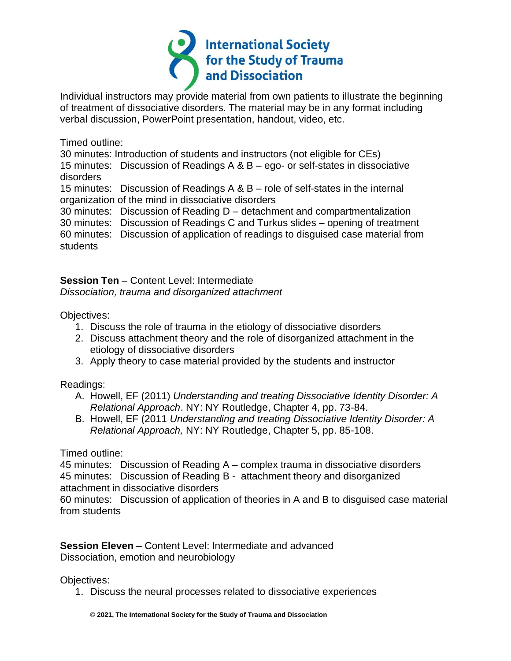

Individual instructors may provide material from own patients to illustrate the beginning of treatment of dissociative disorders. The material may be in any format including verbal discussion, PowerPoint presentation, handout, video, etc.

Timed outline:

30 minutes: Introduction of students and instructors (not eligible for CEs)

15 minutes: Discussion of Readings A & B – ego- or self-states in dissociative disorders

15 minutes: Discussion of Readings A & B – role of self-states in the internal organization of the mind in dissociative disorders

30 minutes: Discussion of Reading D – detachment and compartmentalization

30 minutes: Discussion of Readings C and Turkus slides – opening of treatment

60 minutes: Discussion of application of readings to disguised case material from students

**Session Ten** – Content Level: Intermediate *Dissociation, trauma and disorganized attachment*

Objectives:

- 1. Discuss the role of trauma in the etiology of dissociative disorders
- 2. Discuss attachment theory and the role of disorganized attachment in the etiology of dissociative disorders
- 3. Apply theory to case material provided by the students and instructor

Readings:

- A. Howell, EF (2011) *Understanding and treating Dissociative Identity Disorder: A Relational Approach*. NY: NY Routledge, Chapter 4, pp. 73-84.
- B. Howell, EF (2011 *Understanding and treating Dissociative Identity Disorder: A Relational Approach,* NY: NY Routledge, Chapter 5, pp. 85-108.

Timed outline:

45 minutes: Discussion of Reading A – complex trauma in dissociative disorders 45 minutes: Discussion of Reading B - attachment theory and disorganized attachment in dissociative disorders

60 minutes: Discussion of application of theories in A and B to disguised case material from students

**Session Eleven** – Content Level: Intermediate and advanced Dissociation, emotion and neurobiology

Objectives:

1. Discuss the neural processes related to dissociative experiences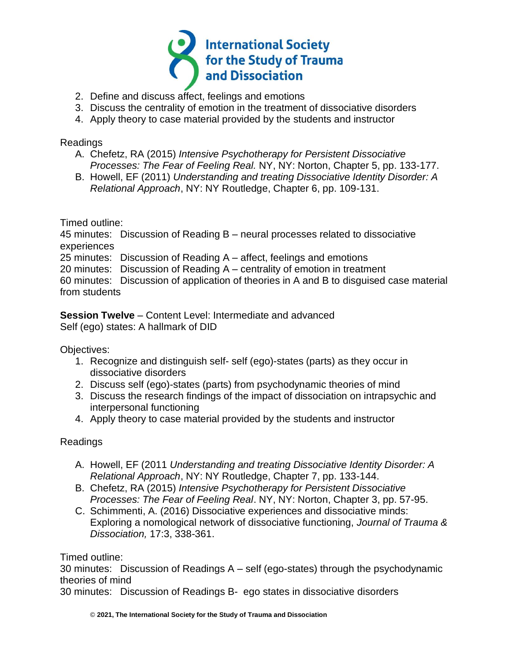

- 2. Define and discuss affect, feelings and emotions
- 3. Discuss the centrality of emotion in the treatment of dissociative disorders
- 4. Apply theory to case material provided by the students and instructor

### Readings

- A. Chefetz, RA (2015) *Intensive Psychotherapy for Persistent Dissociative Processes: The Fear of Feeling Real.* NY, NY: Norton, Chapter 5, pp. 133-177.
- B. Howell, EF (2011) *Understanding and treating Dissociative Identity Disorder: A Relational Approach*, NY: NY Routledge, Chapter 6, pp. 109-131.

Timed outline:

45 minutes: Discussion of Reading B – neural processes related to dissociative experiences

25 minutes: Discussion of Reading A – affect, feelings and emotions

20 minutes: Discussion of Reading A – centrality of emotion in treatment

60 minutes: Discussion of application of theories in A and B to disguised case material from students

**Session Twelve** – Content Level: Intermediate and advanced Self (ego) states: A hallmark of DID

Objectives:

- 1. Recognize and distinguish self- self (ego)-states (parts) as they occur in dissociative disorders
- 2. Discuss self (ego)-states (parts) from psychodynamic theories of mind
- 3. Discuss the research findings of the impact of dissociation on intrapsychic and interpersonal functioning
- 4. Apply theory to case material provided by the students and instructor

## Readings

- A. Howell, EF (2011 *Understanding and treating Dissociative Identity Disorder: A Relational Approach*, NY: NY Routledge, Chapter 7, pp. 133-144.
- B. Chefetz, RA (2015) *Intensive Psychotherapy for Persistent Dissociative Processes: The Fear of Feeling Real*. NY, NY: Norton, Chapter 3, pp. 57-95.
- C. Schimmenti, A. (2016) Dissociative experiences and dissociative minds: Exploring a nomological network of dissociative functioning, *Journal of Trauma & Dissociation,* 17:3, 338-361.

Timed outline:

30 minutes: Discussion of Readings A – self (ego-states) through the psychodynamic theories of mind

30 minutes: Discussion of Readings B- ego states in dissociative disorders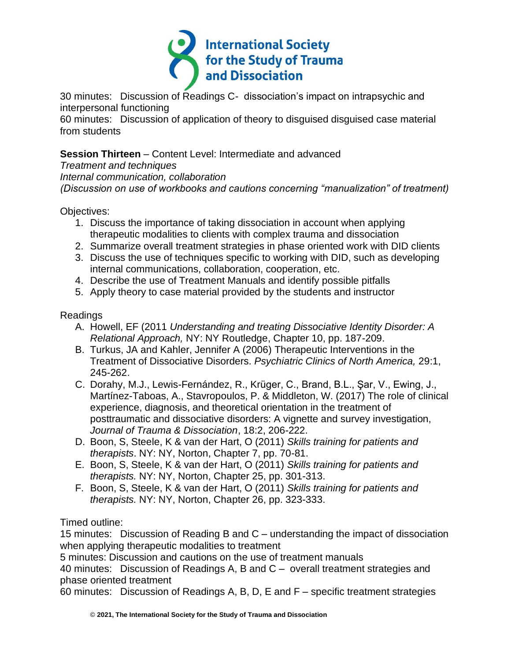

30 minutes: Discussion of Readings C- dissociation's impact on intrapsychic and interpersonal functioning

60 minutes: Discussion of application of theory to disguised disguised case material from students

**Session Thirteen** – Content Level: Intermediate and advanced

*Treatment and techniques Internal communication, collaboration (Discussion on use of workbooks and cautions concerning "manualization" of treatment)*

Objectives:

- 1. Discuss the importance of taking dissociation in account when applying therapeutic modalities to clients with complex trauma and dissociation
- 2. Summarize overall treatment strategies in phase oriented work with DID clients
- 3. Discuss the use of techniques specific to working with DID, such as developing internal communications, collaboration, cooperation, etc.
- 4. Describe the use of Treatment Manuals and identify possible pitfalls
- 5. Apply theory to case material provided by the students and instructor

# Readings

- A. Howell, EF (2011 *Understanding and treating Dissociative Identity Disorder: A Relational Approach,* NY: NY Routledge, Chapter 10, pp. 187-209.
- B. Turkus, JA and Kahler, Jennifer A (2006) Therapeutic Interventions in the Treatment of Dissociative Disorders. *Psychiatric Clinics of North America,* 29:1, 245-262.
- C. Dorahy, M.J., Lewis-Fernández, R., Krüger, C., Brand, B.L., Şar, V., Ewing, J., Martínez-Taboas, A., Stavropoulos, P. & Middleton, W. (2017) The role of clinical experience, diagnosis, and theoretical orientation in the treatment of posttraumatic and dissociative disorders: A vignette and survey investigation, *Journal of Trauma & Dissociation*, 18:2, 206-222.
- D. Boon, S, Steele, K & van der Hart, O (2011) *Skills training for patients and therapists*. NY: NY, Norton, Chapter 7, pp. 70-81.
- E. Boon, S, Steele, K & van der Hart, O (2011) *Skills training for patients and therapists.* NY: NY, Norton, Chapter 25, pp. 301-313.
- F. Boon, S, Steele, K & van der Hart, O (2011) *Skills training for patients and therapists.* NY: NY, Norton, Chapter 26, pp. 323-333.

Timed outline:

15 minutes: Discussion of Reading B and C – understanding the impact of dissociation when applying therapeutic modalities to treatment

5 minutes: Discussion and cautions on the use of treatment manuals

40 minutes: Discussion of Readings A, B and C – overall treatment strategies and phase oriented treatment

60 minutes: Discussion of Readings A, B, D, E and F – specific treatment strategies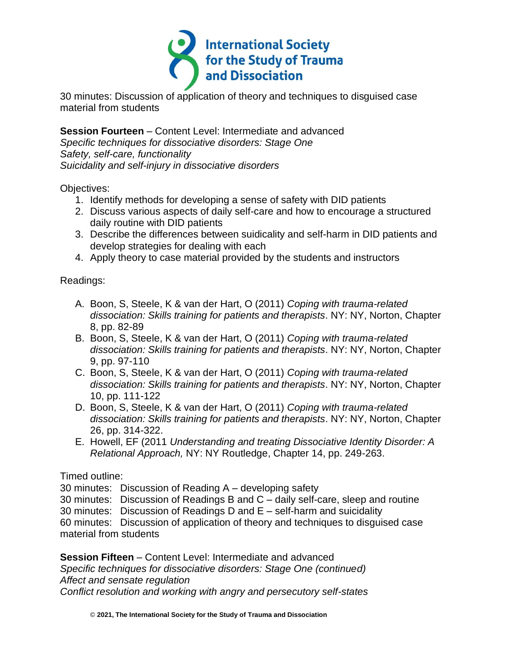

30 minutes: Discussion of application of theory and techniques to disguised case material from students

**Session Fourteen** – Content Level: Intermediate and advanced *Specific techniques for dissociative disorders: Stage One Safety, self-care, functionality Suicidality and self-injury in dissociative disorders*

Objectives:

- 1. Identify methods for developing a sense of safety with DID patients
- 2. Discuss various aspects of daily self-care and how to encourage a structured daily routine with DID patients
- 3. Describe the differences between suidicality and self-harm in DID patients and develop strategies for dealing with each
- 4. Apply theory to case material provided by the students and instructors

Readings:

- A. Boon, S, Steele, K & van der Hart, O (2011) *Coping with trauma-related dissociation: Skills training for patients and therapists*. NY: NY, Norton, Chapter 8, pp. 82-89
- B. Boon, S, Steele, K & van der Hart, O (2011) *Coping with trauma-related dissociation: Skills training for patients and therapists*. NY: NY, Norton, Chapter 9, pp. 97-110
- C. Boon, S, Steele, K & van der Hart, O (2011) *Coping with trauma-related dissociation: Skills training for patients and therapists*. NY: NY, Norton, Chapter 10, pp. 111-122
- D. Boon, S, Steele, K & van der Hart, O (2011) *Coping with trauma-related dissociation: Skills training for patients and therapists*. NY: NY, Norton, Chapter 26, pp. 314-322.
- E. Howell, EF (2011 *Understanding and treating Dissociative Identity Disorder: A Relational Approach,* NY: NY Routledge, Chapter 14, pp. 249-263.

Timed outline:

30 minutes: Discussion of Reading A – developing safety

30 minutes: Discussion of Readings B and C – daily self-care, sleep and routine

30 minutes: Discussion of Readings D and E – self-harm and suicidality

60 minutes: Discussion of application of theory and techniques to disguised case material from students

**Session Fifteen** – Content Level: Intermediate and advanced *Specific techniques for dissociative disorders: Stage One (continued) Affect and sensate regulation Conflict resolution and working with angry and persecutory self-states*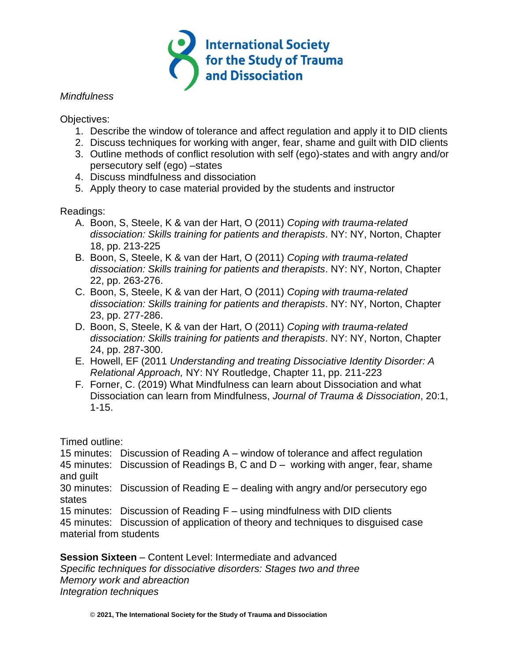

#### *Mindfulness*

Objectives:

- 1. Describe the window of tolerance and affect regulation and apply it to DID clients
- 2. Discuss techniques for working with anger, fear, shame and guilt with DID clients
- 3. Outline methods of conflict resolution with self (ego)-states and with angry and/or persecutory self (ego) –states
- 4. Discuss mindfulness and dissociation
- 5. Apply theory to case material provided by the students and instructor

### Readings:

- A. Boon, S, Steele, K & van der Hart, O (2011) *Coping with trauma-related dissociation: Skills training for patients and therapists*. NY: NY, Norton, Chapter 18, pp. 213-225
- B. Boon, S, Steele, K & van der Hart, O (2011) *Coping with trauma-related dissociation: Skills training for patients and therapists*. NY: NY, Norton, Chapter 22, pp. 263-276.
- C. Boon, S, Steele, K & van der Hart, O (2011) *Coping with trauma-related dissociation: Skills training for patients and therapists*. NY: NY, Norton, Chapter 23, pp. 277-286.
- D. Boon, S, Steele, K & van der Hart, O (2011) *Coping with trauma-related dissociation: Skills training for patients and therapists*. NY: NY, Norton, Chapter 24, pp. 287-300.
- E. Howell, EF (2011 *Understanding and treating Dissociative Identity Disorder: A Relational Approach,* NY: NY Routledge, Chapter 11, pp. 211-223
- F. Forner, C. (2019) What Mindfulness can learn about Dissociation and what Dissociation can learn from Mindfulness, *Journal of Trauma & Dissociation*, 20:1, 1-15.

Timed outline:

15 minutes: Discussion of Reading A – window of tolerance and affect regulation

45 minutes: Discussion of Readings B, C and D – working with anger, fear, shame and guilt

30 minutes: Discussion of Reading E – dealing with angry and/or persecutory ego states

15 minutes: Discussion of Reading F – using mindfulness with DID clients

45 minutes: Discussion of application of theory and techniques to disguised case material from students

**Session Sixteen** – Content Level: Intermediate and advanced

*Specific techniques for dissociative disorders: Stages two and three Memory work and abreaction Integration techniques*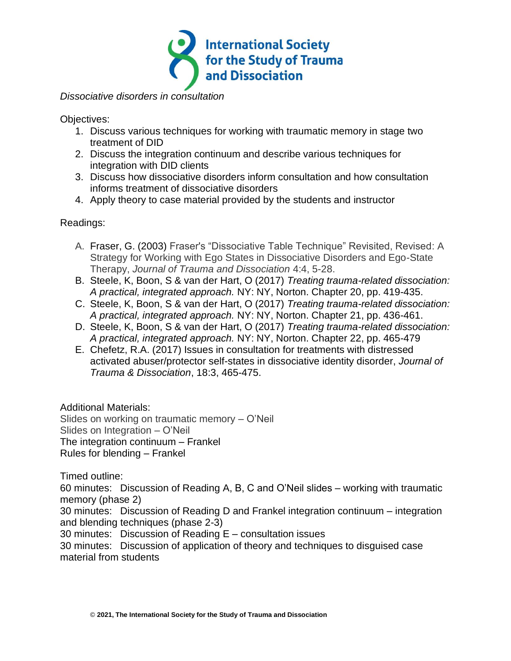

*Dissociative disorders in consultation*

Objectives:

- 1. Discuss various techniques for working with traumatic memory in stage two treatment of DID
- 2. Discuss the integration continuum and describe various techniques for integration with DID clients
- 3. Discuss how dissociative disorders inform consultation and how consultation informs treatment of dissociative disorders
- 4. Apply theory to case material provided by the students and instructor

Readings:

- A. Fraser, G. (2003) Fraser's "Dissociative Table Technique" Revisited, Revised: A Strategy for Working with Ego States in Dissociative Disorders and Ego-State Therapy, *Journal of Trauma and Dissociation* 4:4, 5-28.
- B. Steele, K, Boon, S & van der Hart, O (2017) *Treating trauma-related dissociation: A practical, integrated approach.* NY: NY, Norton. Chapter 20, pp. 419-435.
- C. Steele, K, Boon, S & van der Hart, O (2017) *Treating trauma-related dissociation: A practical, integrated approach.* NY: NY, Norton. Chapter 21, pp. 436-461.
- D. Steele, K, Boon, S & van der Hart, O (2017) *Treating trauma-related dissociation: A practical, integrated approach.* NY: NY, Norton. Chapter 22, pp. 465-479
- E. Chefetz, R.A. (2017) Issues in consultation for treatments with distressed activated abuser/protector self-states in dissociative identity disorder, *Journal of Trauma & Dissociation*, 18:3, 465-475.

Additional Materials:

Slides on working on traumatic memory – O'Neil Slides on Integration – O'Neil The integration continuum – Frankel Rules for blending – Frankel

Timed outline:

60 minutes: Discussion of Reading A, B, C and O'Neil slides – working with traumatic memory (phase 2)

30 minutes: Discussion of Reading D and Frankel integration continuum – integration and blending techniques (phase 2-3)

30 minutes: Discussion of Reading E – consultation issues

30 minutes: Discussion of application of theory and techniques to disguised case material from students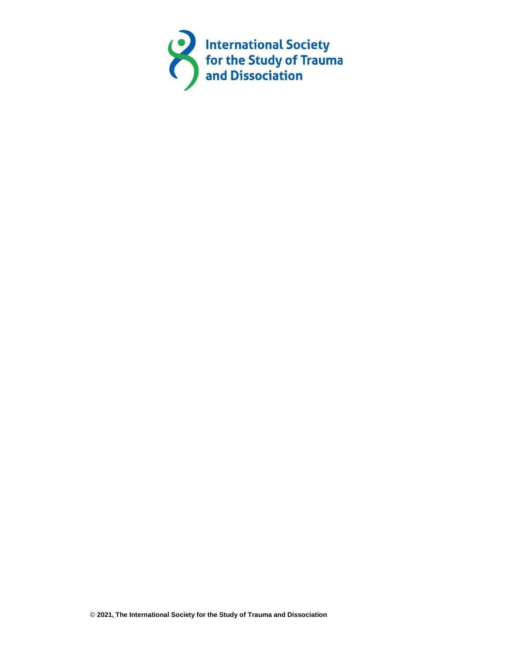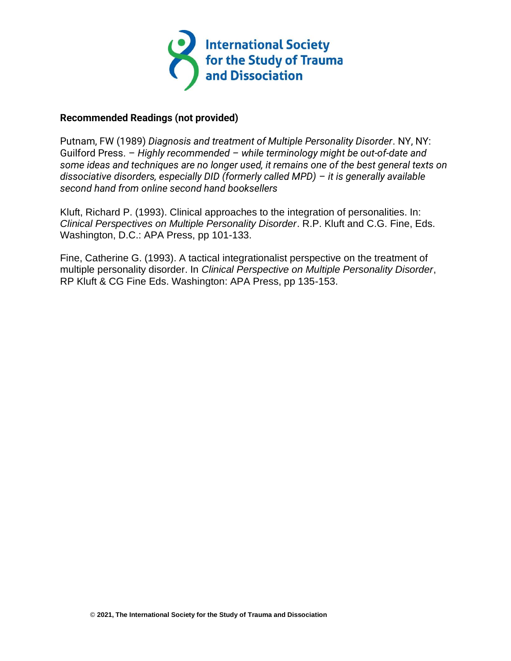

#### **Recommended Readings (not provided)**

Putnam, FW (1989) *Diagnosis and treatment of Multiple Personality Disorder*. NY, NY: Guilford Press. – *Highly recommended – while terminology might be out-of-date and some ideas and techniques are no longer used, it remains one of the best general texts on dissociative disorders, especially DID (formerly called MPD) – it is generally available second hand from online second hand booksellers*

Kluft, Richard P. (1993). Clinical approaches to the integration of personalities. In: *Clinical Perspectives on Multiple Personality Disorder*. R.P. Kluft and C.G. Fine, Eds. Washington, D.C.: APA Press, pp 101-133.

Fine, Catherine G. (1993). A tactical integrationalist perspective on the treatment of multiple personality disorder. In *Clinical Perspective on Multiple Personality Disorder*, RP Kluft & CG Fine Eds. Washington: APA Press, pp 135-153.